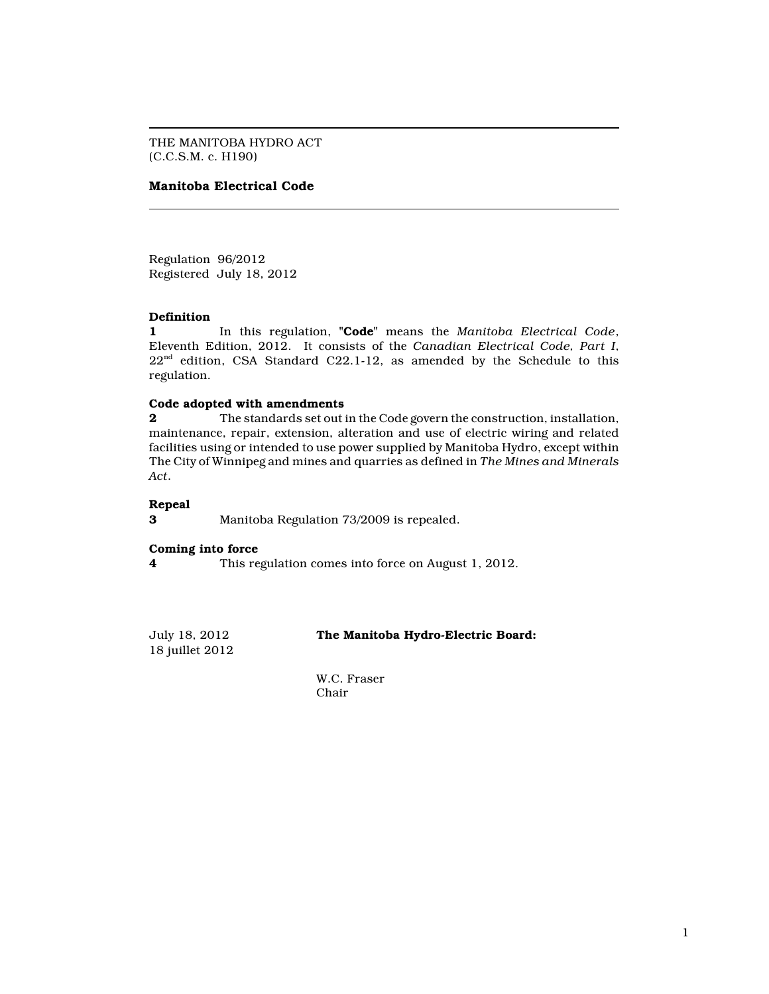THE MANITOBA HYDRO ACT (C.C.S.M. c. H190)

# **Manitoba Electrical Code**

Regulation 96/2012 Registered July 18, 2012

## **Definition**

**1** In this regulation, **"Code"** means the *Manitoba Electrical Code*, Eleventh Edition, 2012. It consists of the *Canadian Electrical Code, Part I*,  $22<sup>nd</sup>$  edition, CSA Standard C22.1-12, as amended by the Schedule to this regulation.

## **Code adopted with amendments**

**2** The standards set out in the Code govern the construction, installation, maintenance, repair, extension, alteration and use of electric wiring and related facilities using or intended to use power supplied by Manitoba Hydro, except within The City of Winnipeg and mines and quarries as defined in *The Mines and Minerals Act*.

### **Repeal**

**3** Manitoba Regulation 73/2009 is repealed.

### **Coming into force**

**4** This regulation comes into force on August 1, 2012.

18 juillet 2012

July 18, 2012 **The Manitoba Hydro-Electric Board:**

W.C. Fraser Chair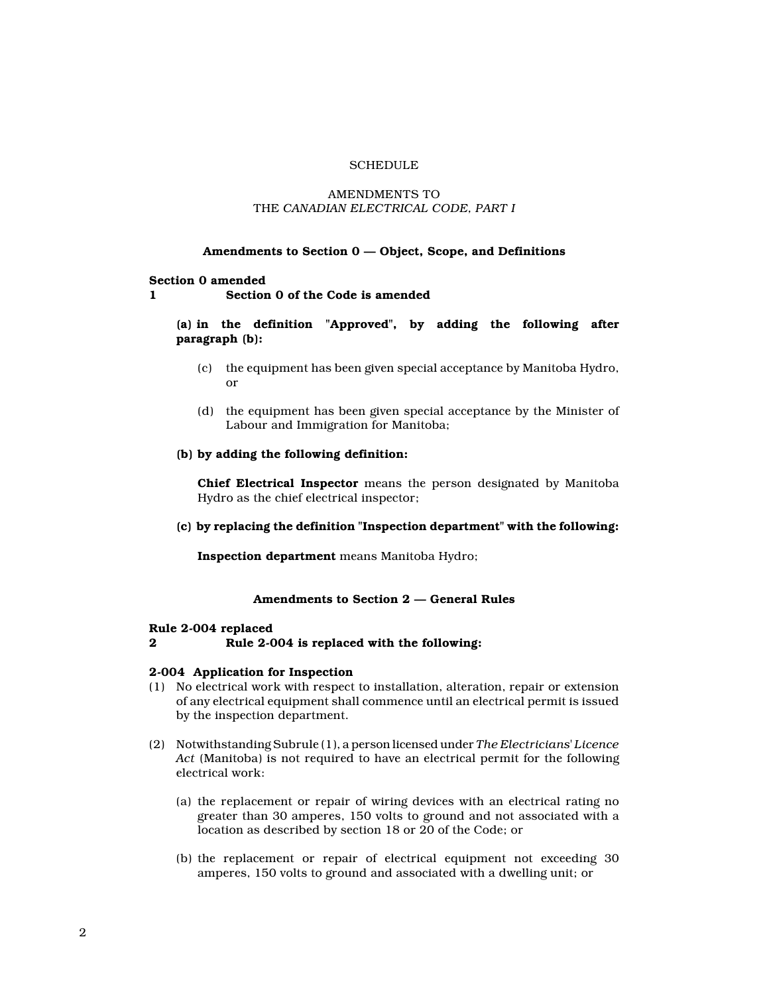# **SCHEDULE**

# AMENDMENTS TO THE *CANADIAN ELECTRICAL CODE, PART I*

### **Amendments to Section 0 — Object, Scope, and Definitions**

## **Section 0 amended**

#### **1 Section 0 of the Code is amended**

# **(a) in the definition "Approved", by adding the following after paragraph (b):**

- (c) the equipment has been given special acceptance by Manitoba Hydro, or
- (d) the equipment has been given special acceptance by the Minister of Labour and Immigration for Manitoba;
- **(b) by adding the following definition:**

**Chief Electrical Inspector** means the person designated by Manitoba Hydro as the chief electrical inspector;

### **(c) by replacing the definition "Inspection department" with the following:**

**Inspection department** means Manitoba Hydro;

### **Amendments to Section 2 — General Rules**

#### **Rule 2-004 replaced**

## **2 Rule 2-004 is replaced with the following:**

#### **2-004 Application for Inspection**

- (1) No electrical work with respect to installation, alteration, repair or extension of any electrical equipment shall commence until an electrical permit is issued by the inspection department.
- (2) Notwithstanding Subrule (1), a person licensed under *The Electricians' Licence Act* (Manitoba) is not required to have an electrical permit for the following electrical work:
	- (a) the replacement or repair of wiring devices with an electrical rating no greater than 30 amperes, 150 volts to ground and not associated with a location as described by section 18 or 20 of the Code; or
	- (b) the replacement or repair of electrical equipment not exceeding 30 amperes, 150 volts to ground and associated with a dwelling unit; or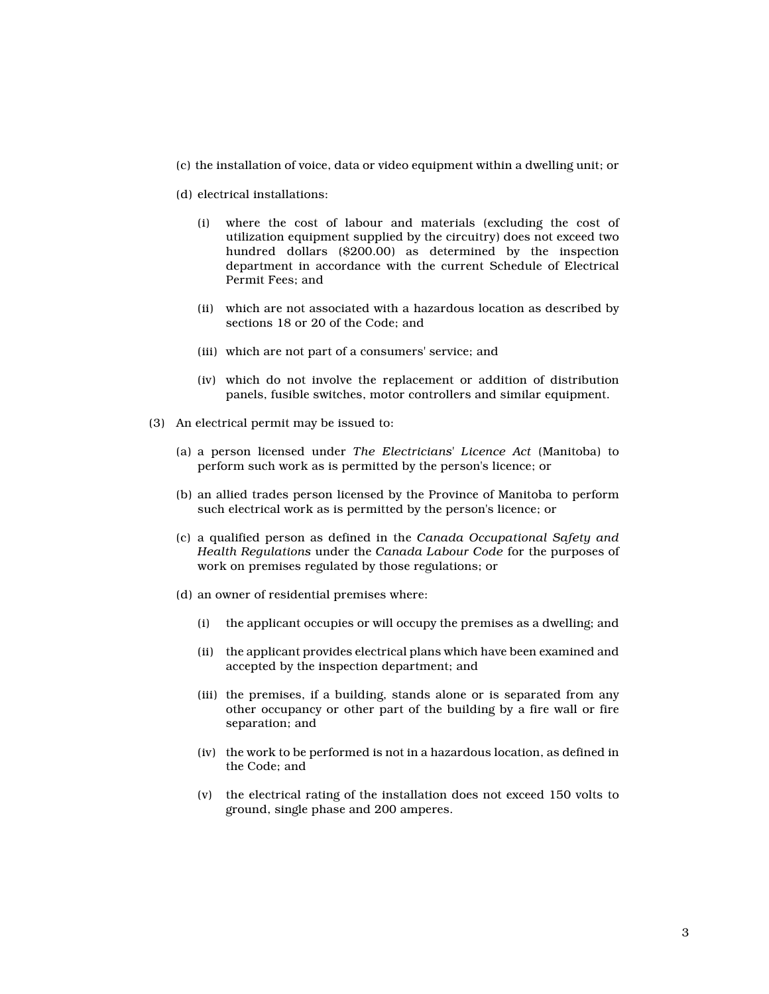- (c) the installation of voice, data or video equipment within a dwelling unit; or
- (d) electrical installations:
	- (i) where the cost of labour and materials (excluding the cost of utilization equipment supplied by the circuitry) does not exceed two hundred dollars (\$200.00) as determined by the inspection department in accordance with the current Schedule of Electrical Permit Fees; and
	- (ii) which are not associated with a hazardous location as described by sections 18 or 20 of the Code; and
	- (iii) which are not part of a consumers' service; and
	- (iv) which do not involve the replacement or addition of distribution panels, fusible switches, motor controllers and similar equipment.
- (3) An electrical permit may be issued to:
	- (a) a person licensed under *The Electricians' Licence Act* (Manitoba) to perform such work as is permitted by the person's licence; or
	- (b) an allied trades person licensed by the Province of Manitoba to perform such electrical work as is permitted by the person's licence; or
	- (c) a qualified person as defined in the *Canada Occupational Safety and Health Regulations* under the *Canada Labour Code* for the purposes of work on premises regulated by those regulations; or
	- (d) an owner of residential premises where:
		- (i) the applicant occupies or will occupy the premises as a dwelling; and
		- (ii) the applicant provides electrical plans which have been examined and accepted by the inspection department; and
		- (iii) the premises, if a building, stands alone or is separated from any other occupancy or other part of the building by a fire wall or fire separation; and
		- (iv) the work to be performed is not in a hazardous location, as defined in the Code; and
		- (v) the electrical rating of the installation does not exceed 150 volts to ground, single phase and 200 amperes.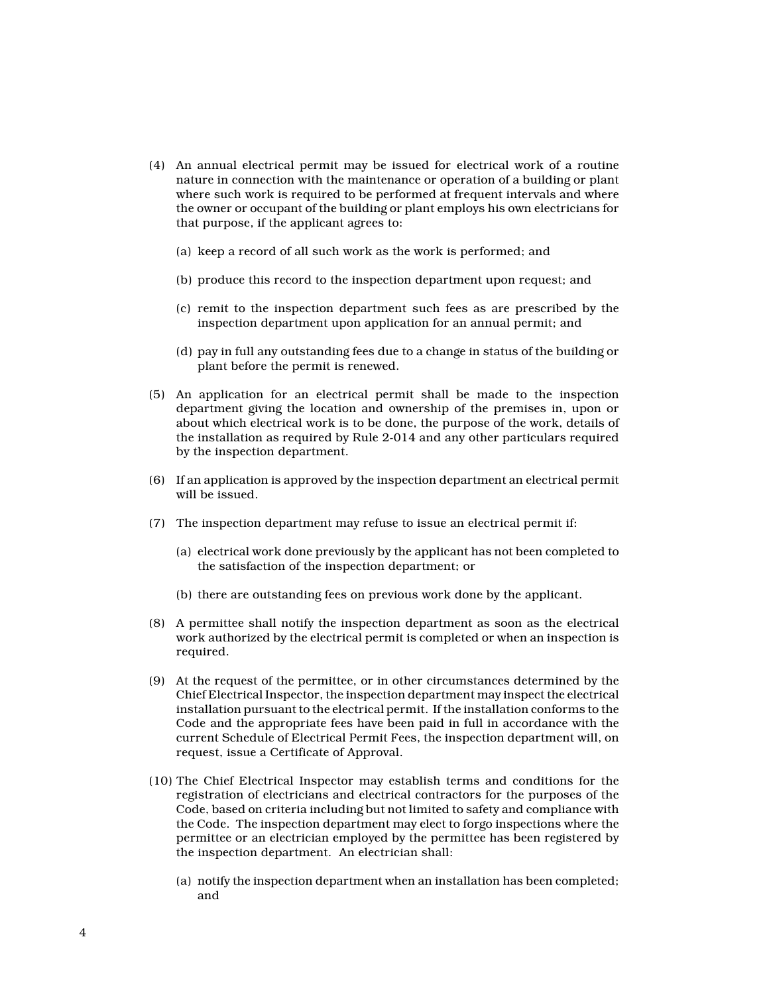- (4) An annual electrical permit may be issued for electrical work of a routine nature in connection with the maintenance or operation of a building or plant where such work is required to be performed at frequent intervals and where the owner or occupant of the building or plant employs his own electricians for that purpose, if the applicant agrees to:
	- (a) keep a record of all such work as the work is performed; and
	- (b) produce this record to the inspection department upon request; and
	- (c) remit to the inspection department such fees as are prescribed by the inspection department upon application for an annual permit; and
	- (d) pay in full any outstanding fees due to a change in status of the building or plant before the permit is renewed.
- (5) An application for an electrical permit shall be made to the inspection department giving the location and ownership of the premises in, upon or about which electrical work is to be done, the purpose of the work, details of the installation as required by Rule 2-014 and any other particulars required by the inspection department.
- (6) If an application is approved by the inspection department an electrical permit will be issued.
- (7) The inspection department may refuse to issue an electrical permit if:
	- (a) electrical work done previously by the applicant has not been completed to the satisfaction of the inspection department; or
	- (b) there are outstanding fees on previous work done by the applicant.
- (8) A permittee shall notify the inspection department as soon as the electrical work authorized by the electrical permit is completed or when an inspection is required.
- (9) At the request of the permittee, or in other circumstances determined by the Chief Electrical Inspector, the inspection department may inspect the electrical installation pursuant to the electrical permit. If the installation conforms to the Code and the appropriate fees have been paid in full in accordance with the current Schedule of Electrical Permit Fees, the inspection department will, on request, issue a Certificate of Approval.
- (10) The Chief Electrical Inspector may establish terms and conditions for the registration of electricians and electrical contractors for the purposes of the Code, based on criteria including but not limited to safety and compliance with the Code. The inspection department may elect to forgo inspections where the permittee or an electrician employed by the permittee has been registered by the inspection department. An electrician shall:
	- (a) notify the inspection department when an installation has been completed; and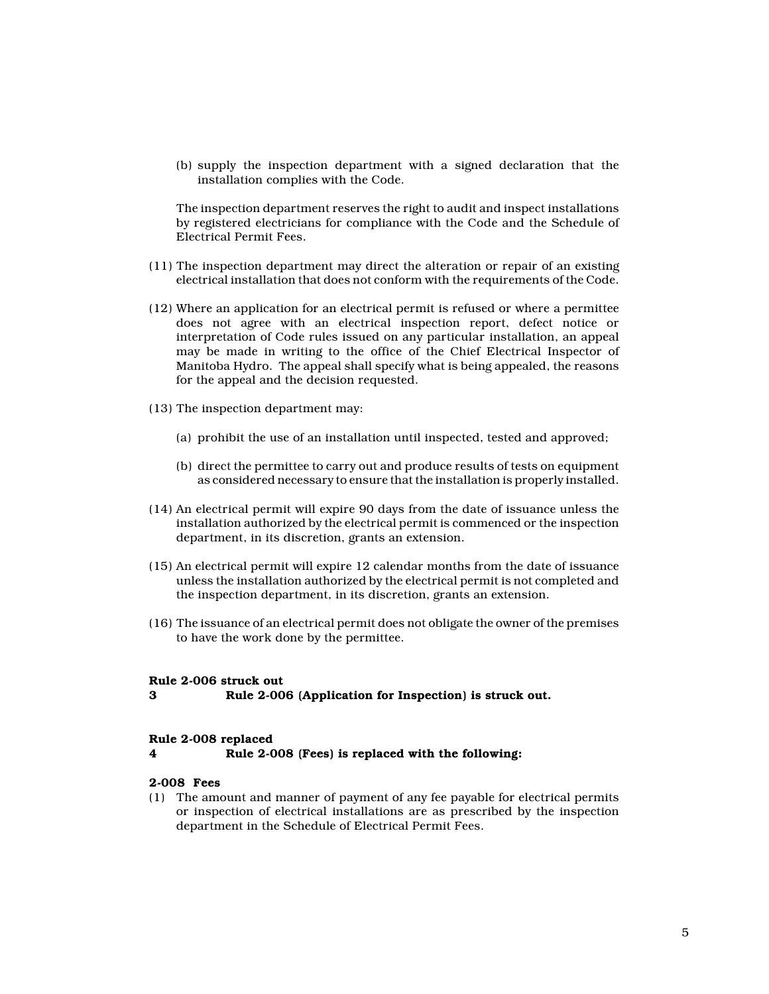(b) supply the inspection department with a signed declaration that the installation complies with the Code.

The inspection department reserves the right to audit and inspect installations by registered electricians for compliance with the Code and the Schedule of Electrical Permit Fees.

- (11) The inspection department may direct the alteration or repair of an existing electrical installation that does not conform with the requirements of the Code.
- (12) Where an application for an electrical permit is refused or where a permittee does not agree with an electrical inspection report, defect notice or interpretation of Code rules issued on any particular installation, an appeal may be made in writing to the office of the Chief Electrical Inspector of Manitoba Hydro. The appeal shall specify what is being appealed, the reasons for the appeal and the decision requested.
- (13) The inspection department may:
	- (a) prohibit the use of an installation until inspected, tested and approved;
	- (b) direct the permittee to carry out and produce results of tests on equipment as considered necessary to ensure that the installation is properly installed.
- (14) An electrical permit will expire 90 days from the date of issuance unless the installation authorized by the electrical permit is commenced or the inspection department, in its discretion, grants an extension.
- (15) An electrical permit will expire 12 calendar months from the date of issuance unless the installation authorized by the electrical permit is not completed and the inspection department, in its discretion, grants an extension.
- (16) The issuance of an electrical permit does not obligate the owner of the premises to have the work done by the permittee.

#### **Rule 2-006 struck out**

**3 Rule 2-006 (Application for Inspection) is struck out.**

#### **Rule 2-008 replaced**

**4 Rule 2-008 (Fees) is replaced with the following:**

## **2-008 Fees**

(1) The amount and manner of payment of any fee payable for electrical permits or inspection of electrical installations are as prescribed by the inspection department in the Schedule of Electrical Permit Fees.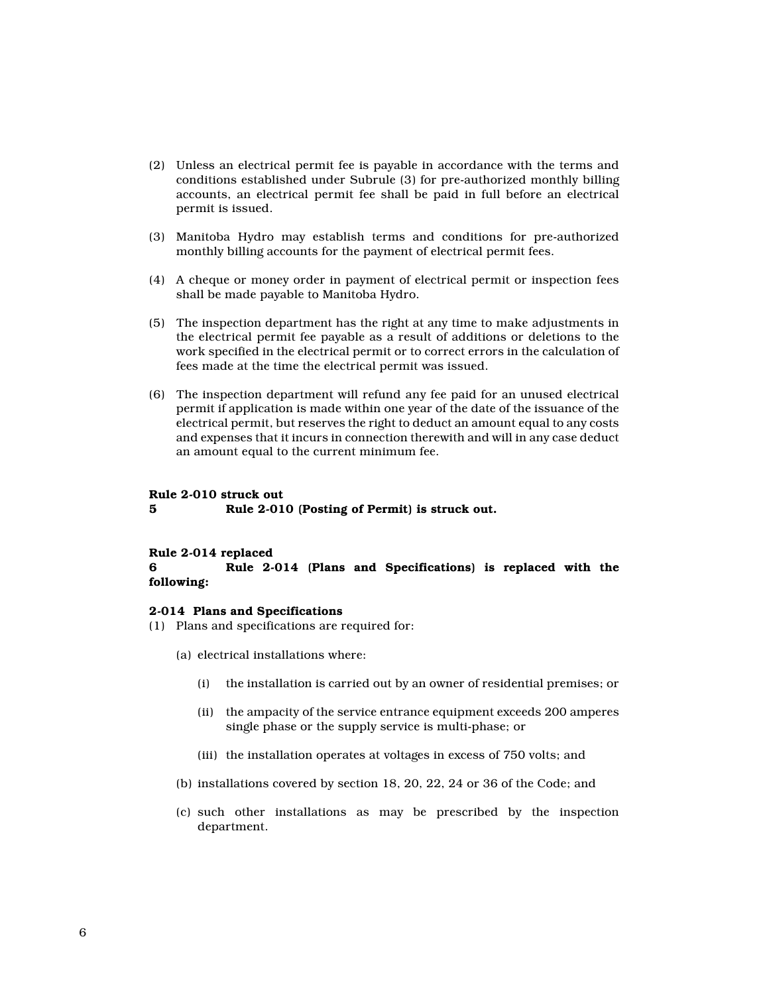- (2) Unless an electrical permit fee is payable in accordance with the terms and conditions established under Subrule (3) for pre-authorized monthly billing accounts, an electrical permit fee shall be paid in full before an electrical permit is issued.
- (3) Manitoba Hydro may establish terms and conditions for pre-authorized monthly billing accounts for the payment of electrical permit fees.
- (4) A cheque or money order in payment of electrical permit or inspection fees shall be made payable to Manitoba Hydro.
- (5) The inspection department has the right at any time to make adjustments in the electrical permit fee payable as a result of additions or deletions to the work specified in the electrical permit or to correct errors in the calculation of fees made at the time the electrical permit was issued.
- (6) The inspection department will refund any fee paid for an unused electrical permit if application is made within one year of the date of the issuance of the electrical permit, but reserves the right to deduct an amount equal to any costs and expenses that it incurs in connection therewith and will in any case deduct an amount equal to the current minimum fee.

#### **Rule 2-010 struck out**

**5 Rule 2-010 (Posting of Permit) is struck out.**

#### **Rule 2-014 replaced**

**6 Rule 2-014 (Plans and Specifications) is replaced with the following:**

#### **2-014 Plans and Specifications**

- (1) Plans and specifications are required for:
	- (a) electrical installations where:
		- (i) the installation is carried out by an owner of residential premises; or
		- (ii) the ampacity of the service entrance equipment exceeds 200 amperes single phase or the supply service is multi-phase; or
		- (iii) the installation operates at voltages in excess of 750 volts; and
	- (b) installations covered by section 18, 20, 22, 24 or 36 of the Code; and
	- (c) such other installations as may be prescribed by the inspection department.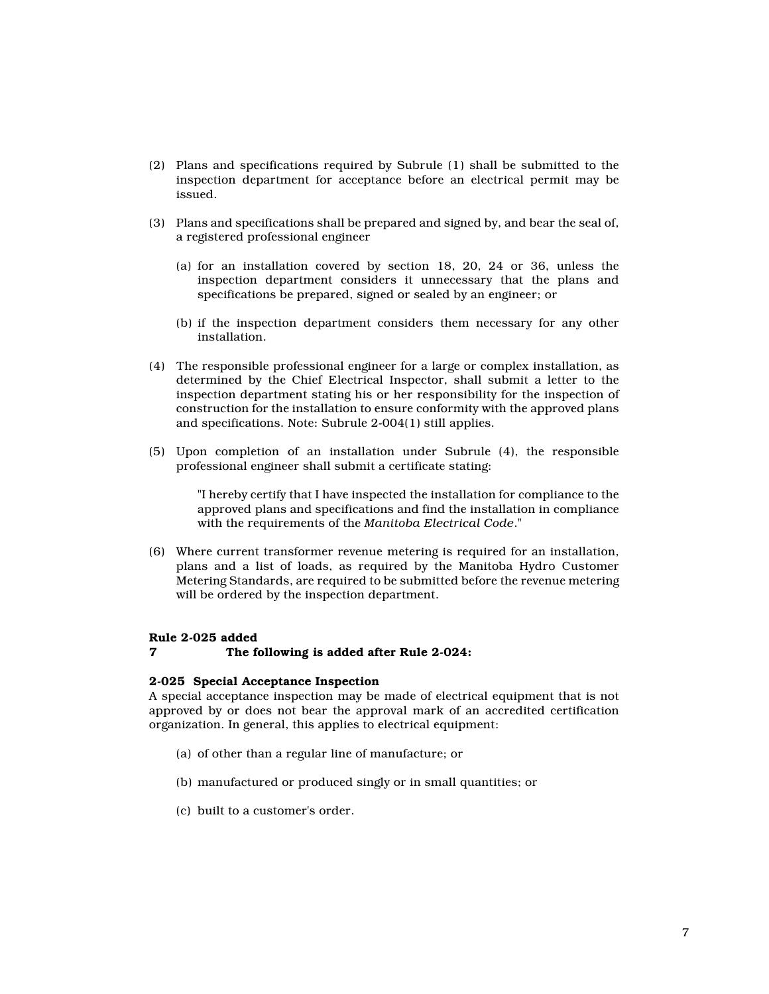- (2) Plans and specifications required by Subrule (1) shall be submitted to the inspection department for acceptance before an electrical permit may be issued.
- (3) Plans and specifications shall be prepared and signed by, and bear the seal of, a registered professional engineer
	- (a) for an installation covered by section 18, 20, 24 or 36, unless the inspection department considers it unnecessary that the plans and specifications be prepared, signed or sealed by an engineer; or
	- (b) if the inspection department considers them necessary for any other installation.
- (4) The responsible professional engineer for a large or complex installation, as determined by the Chief Electrical Inspector, shall submit a letter to the inspection department stating his or her responsibility for the inspection of construction for the installation to ensure conformity with the approved plans and specifications. Note: Subrule 2-004(1) still applies.
- (5) Upon completion of an installation under Subrule (4), the responsible professional engineer shall submit a certificate stating:

"I hereby certify that I have inspected the installation for compliance to the approved plans and specifications and find the installation in compliance with the requirements of the *Manitoba Electrical Code*."

(6) Where current transformer revenue metering is required for an installation, plans and a list of loads, as required by the Manitoba Hydro Customer Metering Standards, are required to be submitted before the revenue metering will be ordered by the inspection department.

### **Rule 2-025 added**

#### **7 The following is added after Rule 2-024:**

#### **2-025 Special Acceptance Inspection**

A special acceptance inspection may be made of electrical equipment that is not approved by or does not bear the approval mark of an accredited certification organization. In general, this applies to electrical equipment:

- (a) of other than a regular line of manufacture; or
- (b) manufactured or produced singly or in small quantities; or
- (c) built to a customer's order.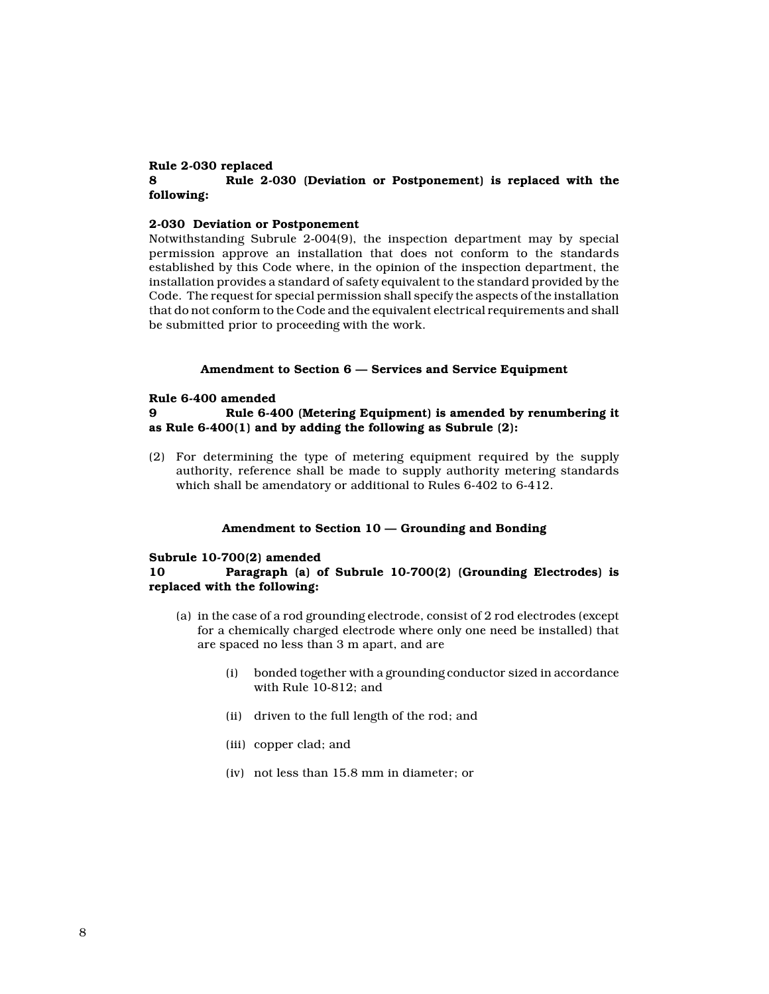# **Rule 2-030 replaced**

# **8 Rule 2-030 (Deviation or Postponement) is replaced with the following:**

### **2-030 Deviation or Postponement**

Notwithstanding Subrule 2-004(9), the inspection department may by special permission approve an installation that does not conform to the standards established by this Code where, in the opinion of the inspection department, the installation provides a standard of safety equivalent to the standard provided by the Code. The request for special permission shall specify the aspects of the installation that do not conform to the Code and the equivalent electrical requirements and shall be submitted prior to proceeding with the work.

### **Amendment to Section 6 — Services and Service Equipment**

#### **Rule 6-400 amended**

# **9 Rule 6-400 (Metering Equipment) is amended by renumbering it as Rule 6-400(1) and by adding the following as Subrule (2):**

(2) For determining the type of metering equipment required by the supply authority, reference shall be made to supply authority metering standards which shall be amendatory or additional to Rules 6-402 to 6-412.

### **Amendment to Section 10 — Grounding and Bonding**

#### **Subrule 10-700(2) amended**

# **10 Paragraph (a) of Subrule 10-700(2) (Grounding Electrodes) is replaced with the following:**

- (a) in the case of a rod grounding electrode, consist of 2 rod electrodes (except for a chemically charged electrode where only one need be installed) that are spaced no less than 3 m apart, and are
	- (i) bonded together with a grounding conductor sized in accordance with Rule 10-812; and
	- (ii) driven to the full length of the rod; and
	- (iii) copper clad; and
	- (iv) not less than 15.8 mm in diameter; or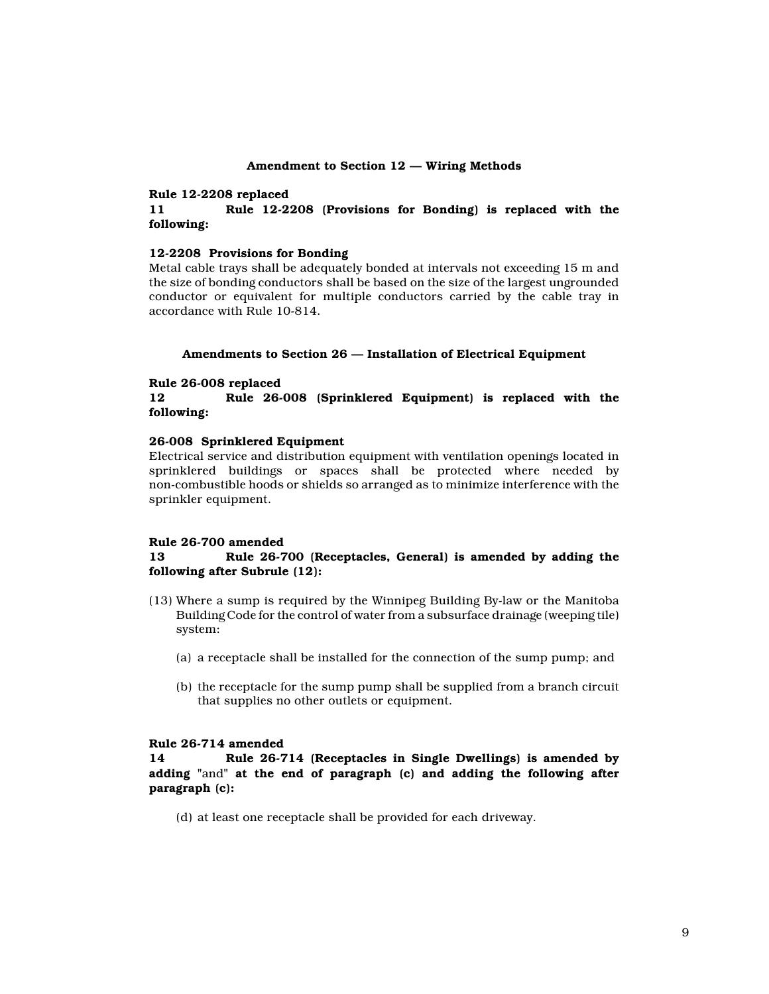#### **Amendment to Section 12 — Wiring Methods**

#### **Rule 12-2208 replaced**

**11 Rule 12-2208 (Provisions for Bonding) is replaced with the following:**

### **12-2208 Provisions for Bonding**

Metal cable trays shall be adequately bonded at intervals not exceeding 15 m and the size of bonding conductors shall be based on the size of the largest ungrounded conductor or equivalent for multiple conductors carried by the cable tray in accordance with Rule 10-814.

#### **Amendments to Section 26 — Installation of Electrical Equipment**

#### **Rule 26-008 replaced**

**12 Rule 26-008 (Sprinklered Equipment) is replaced with the following:**

### **26-008 Sprinklered Equipment**

Electrical service and distribution equipment with ventilation openings located in sprinklered buildings or spaces shall be protected where needed by non-combustible hoods or shields so arranged as to minimize interference with the sprinkler equipment.

### **Rule 26-700 amended**

### **13 Rule 26-700 (Receptacles, General) is amended by adding the following after Subrule (12):**

- (13) Where a sump is required by the Winnipeg Building By-law or the Manitoba Building Code for the control of water from a subsurface drainage (weeping tile) system:
	- (a) a receptacle shall be installed for the connection of the sump pump; and
	- (b) the receptacle for the sump pump shall be supplied from a branch circuit that supplies no other outlets or equipment.

# **Rule 26-714 amended**

**14 Rule 26-714 (Receptacles in Single Dwellings) is amended by adding "**and**" at the end of paragraph (c) and adding the following after paragraph (c):**

(d) at least one receptacle shall be provided for each driveway.